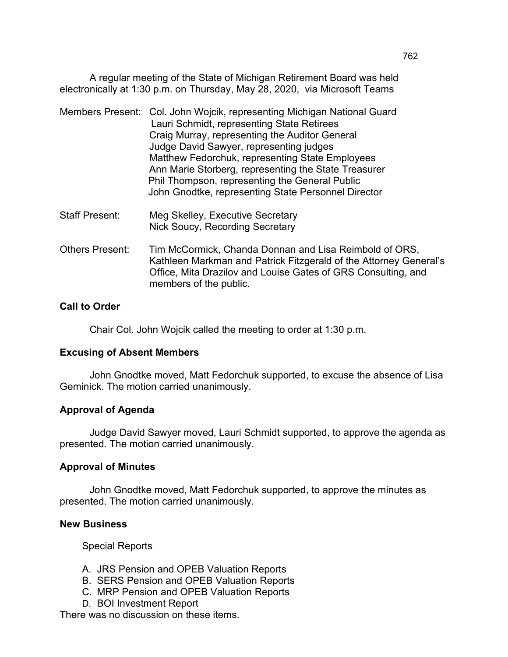A regular meeting of the State of Michigan Retirement Board was held electronically at 1:30 p.m. on Thursday, May 28, 2020, via Microsoft Teams

|  | Members Present: Col. John Wojcik, representing Michigan National Guard<br>Lauri Schmidt, representing State Retirees<br>Craig Murray, representing the Auditor General<br>Judge David Sawyer, representing judges<br>Matthew Fedorchuk, representing State Employees |
|--|-----------------------------------------------------------------------------------------------------------------------------------------------------------------------------------------------------------------------------------------------------------------------|
|  | Ann Marie Storberg, representing the State Treasurer<br>Phil Thompson, representing the General Public<br>John Gnodtke, representing State Personnel Director                                                                                                         |
|  |                                                                                                                                                                                                                                                                       |

- Staff Present: Meg Skelley, Executive Secretary Nick Soucy, Recording Secretary
- Others Present: Tim McCormick, Chanda Donnan and Lisa Reimbold of ORS, Kathleen Markman and Patrick Fitzgerald of the Attorney General's Office, Mita Drazilov and Louise Gates of GRS Consulting, and members of the public.

# **Call to Order**

Chair Col. John Wojcik called the meeting to order at 1:30 p.m.

#### **Excusing of Absent Members**

John Gnodtke moved, Matt Fedorchuk supported, to excuse the absence of Lisa Geminick. The motion carried unanimously.

#### **Approval of Agenda**

Judge David Sawyer moved, Lauri Schmidt supported, to approve the agenda as presented. The motion carried unanimously.

#### **Approval of Minutes**

John Gnodtke moved, Matt Fedorchuk supported, to approve the minutes as presented. The motion carried unanimously.

#### **New Business**

Special Reports

- A. JRS Pension and OPEB Valuation Reports
- B. SERS Pension and OPEB Valuation Reports
- C. MRP Pension and OPEB Valuation Reports
- D. BOI Investment Report

There was no discussion on these items.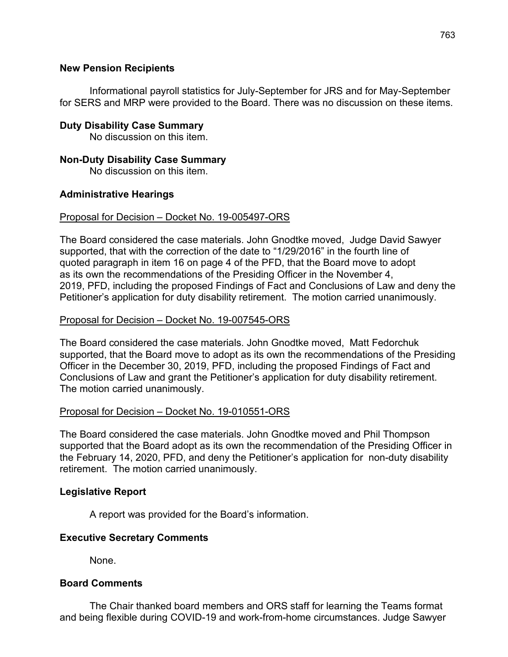# **New Pension Recipients**

Informational payroll statistics for July-September for JRS and for May-September for SERS and MRP were provided to the Board. There was no discussion on these items.

# **Duty Disability Case Summary**

No discussion on this item.

# **Non-Duty Disability Case Summary**

No discussion on this item.

# **Administrative Hearings**

### Proposal for Decision – Docket No. 19-005497-ORS

The Board considered the case materials. John Gnodtke moved, Judge David Sawyer supported, that with the correction of the date to "1/29/2016" in the fourth line of quoted paragraph in item 16 on page 4 of the PFD, that the Board move to adopt as its own the recommendations of the Presiding Officer in the November 4, 2019, PFD, including the proposed Findings of Fact and Conclusions of Law and deny the Petitioner's application for duty disability retirement. The motion carried unanimously.

# Proposal for Decision – Docket No. 19-007545-ORS

The Board considered the case materials. John Gnodtke moved, Matt Fedorchuk supported, that the Board move to adopt as its own the recommendations of the Presiding Officer in the December 30, 2019, PFD, including the proposed Findings of Fact and Conclusions of Law and grant the Petitioner's application for duty disability retirement. The motion carried unanimously.

# Proposal for Decision – Docket No. 19-010551-ORS

The Board considered the case materials. John Gnodtke moved and Phil Thompson supported that the Board adopt as its own the recommendation of the Presiding Officer in the February 14, 2020, PFD, and deny the Petitioner's application for non-duty disability retirement. The motion carried unanimously.

# **Legislative Report**

A report was provided for the Board's information.

# **Executive Secretary Comments**

None.

#### **Board Comments**

The Chair thanked board members and ORS staff for learning the Teams format and being flexible during COVID-19 and work-from-home circumstances. Judge Sawyer